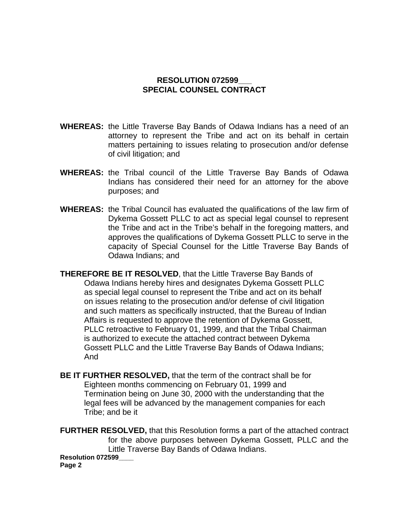## **RESOLUTION 072599\_\_\_ SPECIAL COUNSEL CONTRACT**

- **WHEREAS:** the Little Traverse Bay Bands of Odawa Indians has a need of an attorney to represent the Tribe and act on its behalf in certain matters pertaining to issues relating to prosecution and/or defense of civil litigation; and
- **WHEREAS:** the Tribal council of the Little Traverse Bay Bands of Odawa Indians has considered their need for an attorney for the above purposes; and
- **WHEREAS:** the Tribal Council has evaluated the qualifications of the law firm of Dykema Gossett PLLC to act as special legal counsel to represent the Tribe and act in the Tribe's behalf in the foregoing matters, and approves the qualifications of Dykema Gossett PLLC to serve in the capacity of Special Counsel for the Little Traverse Bay Bands of Odawa Indians; and

**THEREFORE BE IT RESOLVED**, that the Little Traverse Bay Bands of Odawa Indians hereby hires and designates Dykema Gossett PLLC as special legal counsel to represent the Tribe and act on its behalf on issues relating to the prosecution and/or defense of civil litigation and such matters as specifically instructed, that the Bureau of Indian Affairs is requested to approve the retention of Dykema Gossett, PLLC retroactive to February 01, 1999, and that the Tribal Chairman is authorized to execute the attached contract between Dykema Gossett PLLC and the Little Traverse Bay Bands of Odawa Indians; And

**BE IT FURTHER RESOLVED,** that the term of the contract shall be for Eighteen months commencing on February 01, 1999 and Termination being on June 30, 2000 with the understanding that the legal fees will be advanced by the management companies for each Tribe; and be it

**FURTHER RESOLVED,** that this Resolution forms a part of the attached contract for the above purposes between Dykema Gossett, PLLC and the Little Traverse Bay Bands of Odawa Indians. **Resolution 072599\_\_\_\_ Page 2**